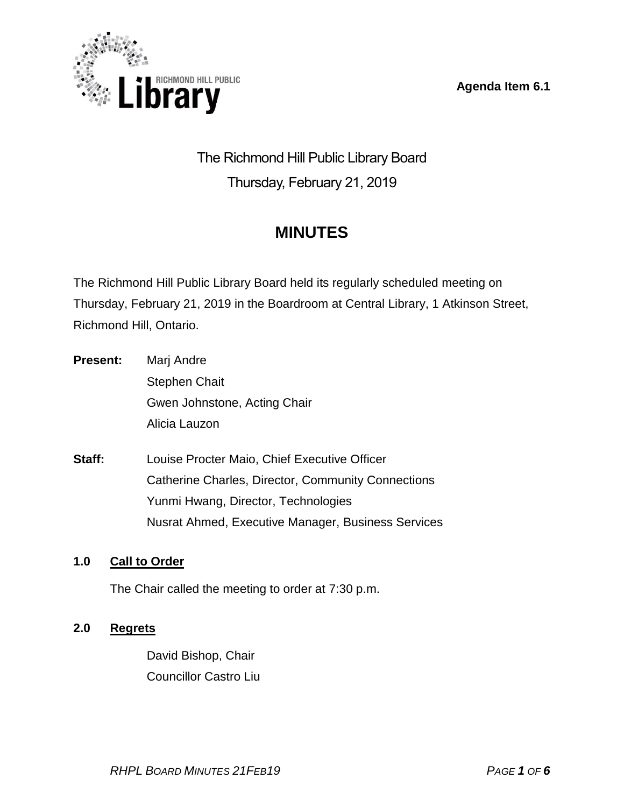**Agenda Item 6.1**



The Richmond Hill Public Library Board Thursday, February 21, 2019

# **MINUTES**

The Richmond Hill Public Library Board held its regularly scheduled meeting on Thursday, February 21, 2019 in the Boardroom at Central Library, 1 Atkinson Street, Richmond Hill, Ontario.

- **Present:** Marj Andre Stephen Chait Gwen Johnstone, Acting Chair Alicia Lauzon
- **Staff:** Louise Procter Maio, Chief Executive Officer Catherine Charles, Director, Community Connections Yunmi Hwang, Director, Technologies Nusrat Ahmed, Executive Manager, Business Services

# **1.0 Call to Order**

The Chair called the meeting to order at 7:30 p.m.

# **2.0 Regrets**

David Bishop, Chair Councillor Castro Liu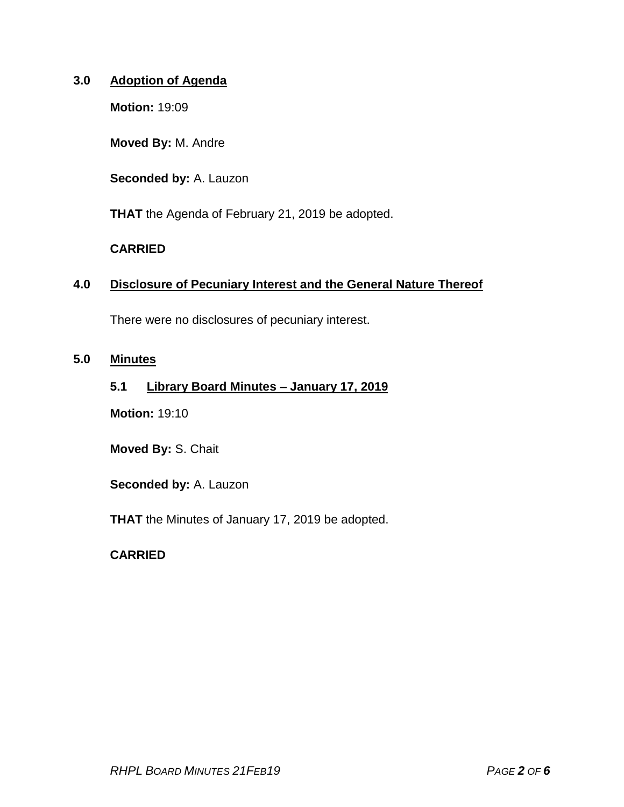### **3.0 Adoption of Agenda**

**Motion:** 19:09

**Moved By:** M. Andre

**Seconded by:** A. Lauzon

**THAT** the Agenda of February 21, 2019 be adopted.

### **CARRIED**

### **4.0 Disclosure of Pecuniary Interest and the General Nature Thereof**

There were no disclosures of pecuniary interest.

### **5.0 Minutes**

### **5.1 Library Board Minutes – January 17, 2019**

**Motion:** 19:10

**Moved By:** S. Chait

**Seconded by:** A. Lauzon

**THAT** the Minutes of January 17, 2019 be adopted.

### **CARRIED**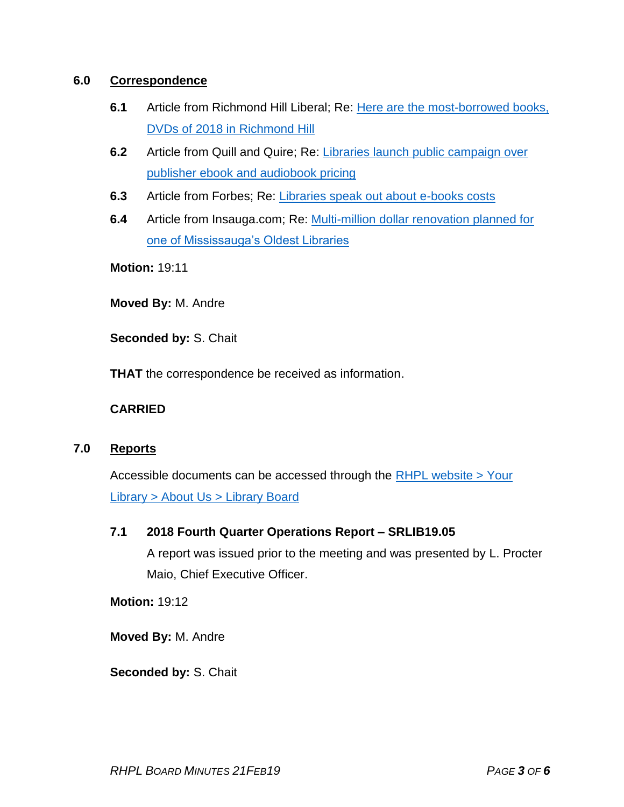### **6.0 Correspondence**

- **6.1** Article from Richmond Hill Liberal; Re: [Here are the most-borrowed books,](https://www.yorkregion.com/community-story/9119530-richmond-hill-public-library-s-most-borrowed-books-dvds-of-2018/)  [DVDs of 2018 in Richmond Hill](https://www.yorkregion.com/community-story/9119530-richmond-hill-public-library-s-most-borrowed-books-dvds-of-2018/)
- **6.2** Article from Quill and Quire; Re: [Libraries launch public campaign over](https://quillandquire.com/omni/libraries-launch-public-campaign-over-publisher-ebook-audiobook-pricing/)  [publisher ebook and audiobook pricing](https://quillandquire.com/omni/libraries-launch-public-campaign-over-publisher-ebook-audiobook-pricing/)
- **6.3** Article from Forbes; Re: [Libraries speak out about e-books costs](https://www.forbes.com/sites/ellenduffer/2019/01/30/libraries-speak-out-about-e-book-costs/#5282c1c6392a)
- **6.4** Article from Insauga.com; Re: [Multi-million dollar renovation planned for](https://www.insauga.com/multi-million-dollar-renovation-planned-for-one-of-mississaugas-oldest-libraries)  [one of Mississauga's Oldest Libraries](https://www.insauga.com/multi-million-dollar-renovation-planned-for-one-of-mississaugas-oldest-libraries)

**Motion:** 19:11

**Moved By:** M. Andre

**Seconded by:** S. Chait

**THAT** the correspondence be received as information.

### **CARRIED**

### **7.0 Reports**

Accessible documents can be accessed through the [RHPL website > Your](https://www.rhpl.ca/your-library/about-us/library-board)  Library [> About Us > Library](https://www.rhpl.ca/your-library/about-us/library-board) Board

### **7.1 2018 Fourth Quarter Operations Report – SRLIB19.05**

A report was issued prior to the meeting and was presented by L. Procter Maio, Chief Executive Officer.

**Motion:** 19:12

**Moved By:** M. Andre

**Seconded by:** S. Chait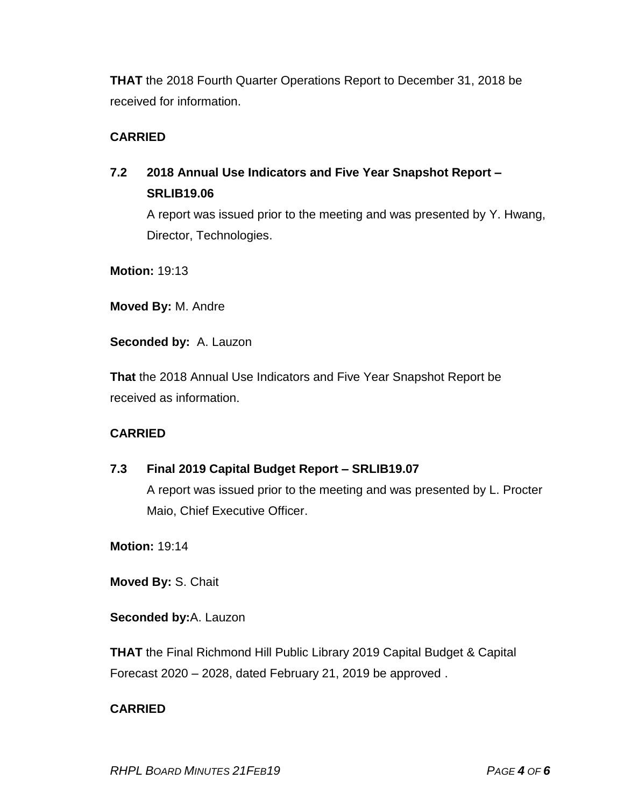**THAT** the 2018 Fourth Quarter Operations Report to December 31, 2018 be received for information.

# **CARRIED**

# **7.2 2018 Annual Use Indicators and Five Year Snapshot Report – SRLIB19.06**

A report was issued prior to the meeting and was presented by Y. Hwang, Director, Technologies.

**Motion:** 19:13

**Moved By:** M. Andre

**Seconded by:** A. Lauzon

**That** the 2018 Annual Use Indicators and Five Year Snapshot Report be received as information.

# **CARRIED**

# **7.3 Final 2019 Capital Budget Report – SRLIB19.07**

A report was issued prior to the meeting and was presented by L. Procter Maio, Chief Executive Officer.

**Motion:** 19:14

**Moved By:** S. Chait

**Seconded by:**A. Lauzon

**THAT** the Final Richmond Hill Public Library 2019 Capital Budget & Capital Forecast 2020 – 2028, dated February 21, 2019 be approved .

# **CARRIED**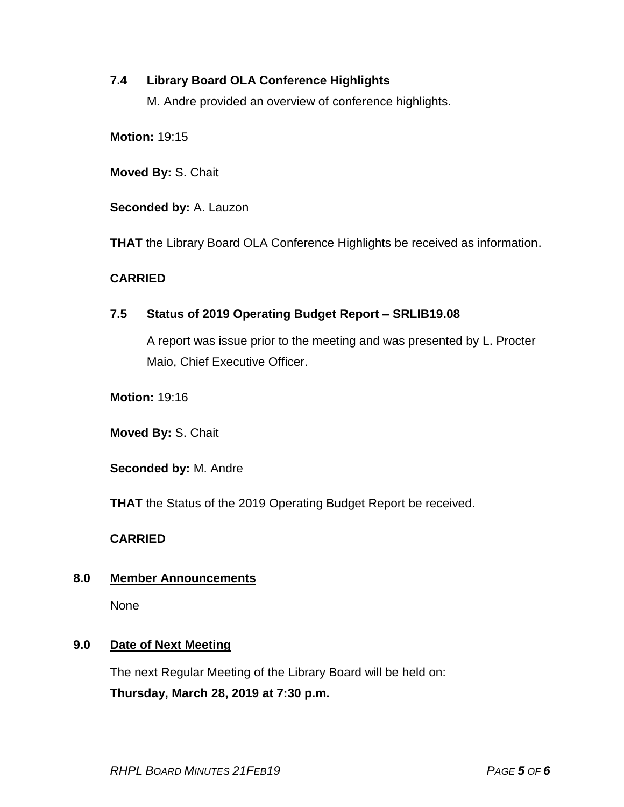# **7.4 Library Board OLA Conference Highlights**

M. Andre provided an overview of conference highlights.

**Motion:** 19:15

**Moved By:** S. Chait

**Seconded by:** A. Lauzon

**THAT** the Library Board OLA Conference Highlights be received as information.

### **CARRIED**

# **7.5 Status of 2019 Operating Budget Report – SRLIB19.08**

A report was issue prior to the meeting and was presented by L. Procter Maio, Chief Executive Officer.

**Motion:** 19:16

**Moved By:** S. Chait

**Seconded by:** M. Andre

**THAT** the Status of the 2019 Operating Budget Report be received.

### **CARRIED**

### **8.0 Member Announcements**

None

### **9.0 Date of Next Meeting**

The next Regular Meeting of the Library Board will be held on: **Thursday, March 28, 2019 at 7:30 p.m.**